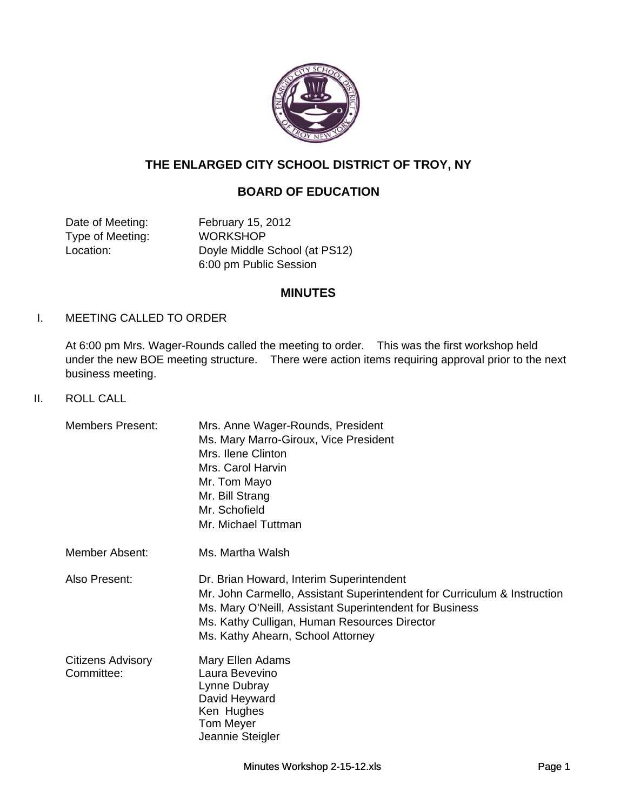

# **THE ENLARGED CITY SCHOOL DISTRICT OF TROY, NY**

# **BOARD OF EDUCATION**

Date of Meeting: February 15, 2012 Type of Meeting: WORKSHOP Location: Doyle Middle School (at PS12) 6:00 pm Public Session

#### **MINUTES**

#### I. MEETING CALLED TO ORDER

At 6:00 pm Mrs. Wager-Rounds called the meeting to order. This was the first workshop held under the new BOE meeting structure. There were action items requiring approval prior to the next business meeting. g

II. ROLL CALL

| <b>Members Present:</b>                | Mrs. Anne Wager-Rounds, President<br>Ms. Mary Marro-Giroux, Vice President<br>Mrs. Ilene Clinton<br>Mrs. Carol Harvin<br>Mr. Tom Mayo<br>Mr. Bill Strang<br>Mr. Schofield<br>Mr. Michael Tuttman                                                                     |
|----------------------------------------|----------------------------------------------------------------------------------------------------------------------------------------------------------------------------------------------------------------------------------------------------------------------|
| Member Absent:                         | Ms. Martha Walsh                                                                                                                                                                                                                                                     |
| Also Present:                          | Dr. Brian Howard, Interim Superintendent<br>Mr. John Carmello, Assistant Superintendent for Curriculum & Instruction<br>Ms. Mary O'Neill, Assistant Superintendent for Business<br>Ms. Kathy Culligan, Human Resources Director<br>Ms. Kathy Ahearn, School Attorney |
| <b>Citizens Advisory</b><br>Committee: | Mary Ellen Adams<br>Laura Bevevino<br>Lynne Dubray<br>David Heyward<br>Ken Hughes<br><b>Tom Meyer</b><br>Jeannie Steigler                                                                                                                                            |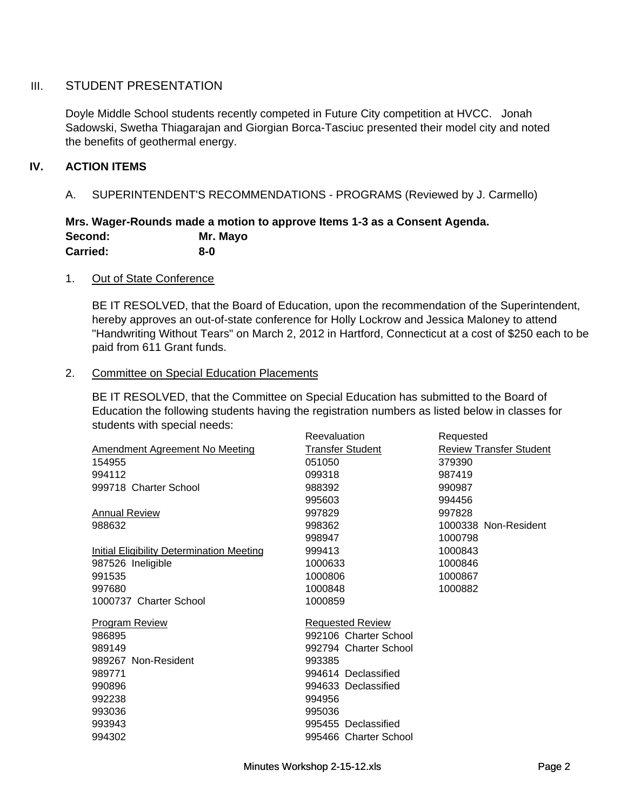### III. STUDENT PRESENTATION

Doyle Middle School students recently competed in Future City competition at HVCC. Jonah Sadowski, Swetha Thiagarajan and Giorgian Borca-Tasciuc presented their model city and noted the benefits of geothermal energy.

### **IV. ACTION ITEMS**

A. SUPERINTENDENT'S RECOMMENDATIONS - PROGRAMS (Reviewed by J. Carmello)

#### **Mrs. Wager-Rounds made a motion to approve Items 1-3 as a Consent Agenda. Second: Mr. Mayo Carried: 8-0**

#### 1. Out of State Conference

BE IT RESOLVED, that the Board of Education, upon the recommendation of the Superintendent, hereby approves an out-of-state conference for Holly Lockrow and Jessica Maloney to attend "Handwriting Without Tears" on March 2, 2012 in Hartford, Connecticut at a cost of \$250 each to be paid from 611 Grant funds.

#### 2. Committee on Special Education Placements

BE IT RESOLVED, that the Committee on Special Education has submitted to the Board of Education the following students having the registration numbers as listed below in classes for students with special needs:

| <b>Transfer Student</b><br><b>Review Transfer Student</b><br>Amendment Agreement No Meeting<br>154955<br>051050<br>379390<br>994112<br>099318<br>987419 |  |
|---------------------------------------------------------------------------------------------------------------------------------------------------------|--|
|                                                                                                                                                         |  |
|                                                                                                                                                         |  |
|                                                                                                                                                         |  |
| 999718 Charter School<br>988392<br>990987                                                                                                               |  |
| 995603<br>994456                                                                                                                                        |  |
| 997829<br>997828<br><b>Annual Review</b>                                                                                                                |  |
| 988632<br>998362<br>1000338 Non-Resident                                                                                                                |  |
| 1000798<br>998947                                                                                                                                       |  |
| <b>Initial Eligibility Determination Meeting</b><br>999413<br>1000843                                                                                   |  |
| 987526 Ineligible<br>1000633<br>1000846                                                                                                                 |  |
| 991535<br>1000806<br>1000867                                                                                                                            |  |
| 1000882<br>997680<br>1000848                                                                                                                            |  |
| 1000737 Charter School<br>1000859                                                                                                                       |  |
| <b>Program Review</b><br><b>Requested Review</b>                                                                                                        |  |
| 992106 Charter School<br>986895                                                                                                                         |  |
| 992794 Charter School<br>989149                                                                                                                         |  |
| 989267 Non-Resident<br>993385                                                                                                                           |  |
| 989771<br>994614 Declassified                                                                                                                           |  |
| 990896<br>994633 Declassified                                                                                                                           |  |
| 992238<br>994956                                                                                                                                        |  |
| 993036<br>995036                                                                                                                                        |  |
| 993943<br>995455 Declassified                                                                                                                           |  |
| 994302<br>995466 Charter School                                                                                                                         |  |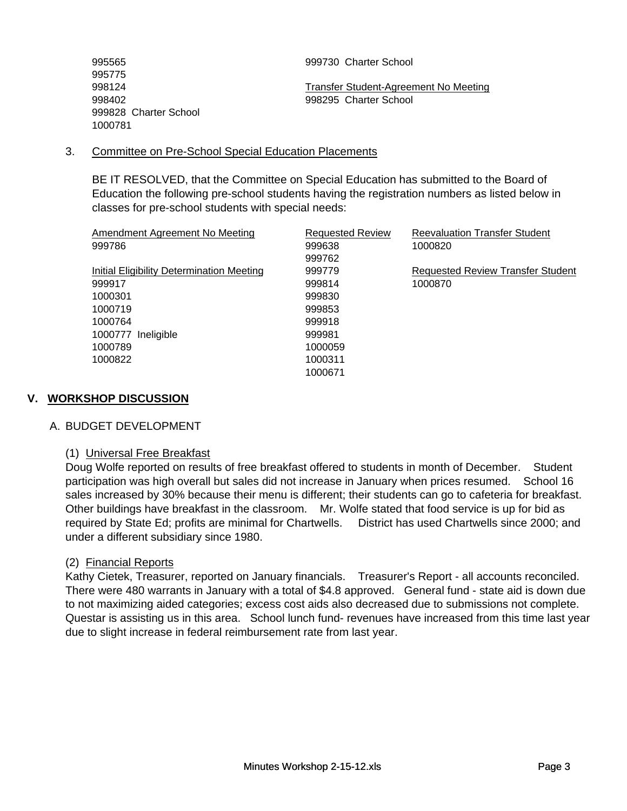| 995565                | 999730 Charter School                 |
|-----------------------|---------------------------------------|
| 995775                |                                       |
| 998124                | Transfer Student-Agreement No Meeting |
| 998402                | 998295 Charter School                 |
| 999828 Charter School |                                       |
| 1000781               |                                       |

#### 3. Committee on Pre-School Special Education Placements

BE IT RESOLVED, that the Committee on Special Education has submitted to the Board of Education the following pre-school students having the registration numbers as listed below in classes for pre-school students with special needs:

| <b>Requested Review</b> | <b>Reevaluation Transfer Student</b>     |
|-------------------------|------------------------------------------|
| 999638                  | 1000820                                  |
| 999762                  |                                          |
| 999779                  | <b>Requested Review Transfer Student</b> |
| 999814                  | 1000870                                  |
| 999830                  |                                          |
| 999853                  |                                          |
| 999918                  |                                          |
| 999981                  |                                          |
| 1000059                 |                                          |
| 1000311                 |                                          |
| 1000671                 |                                          |
|                         |                                          |

# **V. WORKSHOP DISCUSSION**

#### A. BUDGET DEVELOPMENT

#### (1) Universal Free Breakfast

Doug Wolfe reported on results of free breakfast offered to students in month of December. Student participation was high overall but sales did not increase in January when prices resumed. School 16 sales increased by 30% because their menu is different; their students can go to cafeteria for breakfast. Other buildings have breakfast in the classroom. Mr. Wolfe stated that food service is up for bid as required by State Ed; profits are minimal for Chartwells. District has used Chartwells since 2000; and under a different subsidiary since 1980.

#### (2) Financial Reports

Kathy Cietek, Treasurer, reported on January financials. Treasurer's Report - all accounts reconciled. There were 480 warrants in January with a total of \$4.8 approved. General fund - state aid is down due to not maximizing aided categories; excess cost aids also decreased due to submissions not complete. Questar is assisting us in this area. School lunch fund- revenues have increased from this time last year due to slight increase in federal reimbursement rate from last year.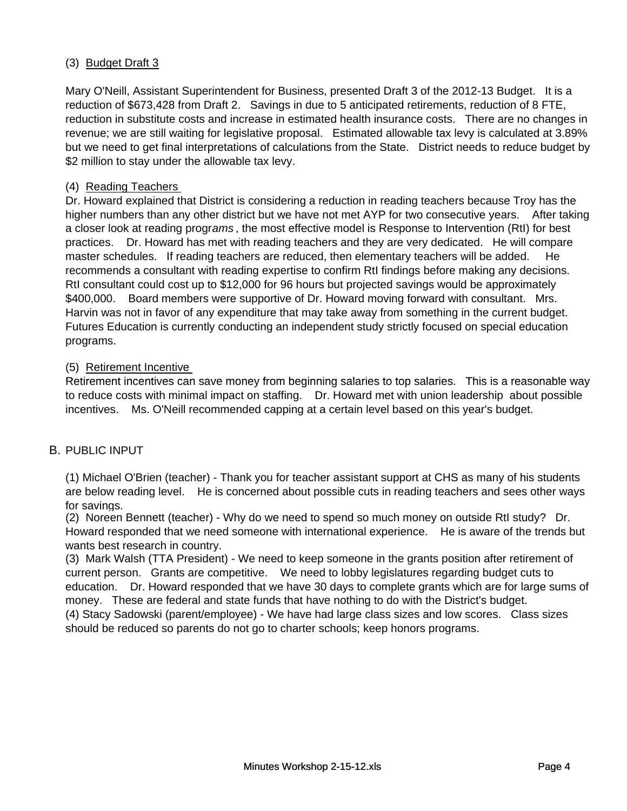# (3) Budget Draft 3

Mary O'Neill, Assistant Superintendent for Business, presented Draft 3 of the 2012-13 Budget. It is a reduction of \$673,428 from Draft 2. Savings in due to 5 anticipated retirements, reduction of 8 FTE, reduction in substitute costs and increase in estimated health insurance costs. There are no changes in revenue; we are still waiting for legislative proposal. Estimated allowable tax levy is calculated at 3.89% but we need to get final interpretations of calculations from the State. District needs to reduce budget by \$2 million to stay under the allowable tax levy.

# (4) Reading Teachers

Dr. Howard explained that District is considering a reduction in reading teachers because Troy has the higher numbers than any other district but we have not met AYP for two consecutive years. After taking a closer look at reading progr*ams* , the most effective model is Response to Intervention (RtI) for best practices. Dr. Howard has met with reading teachers and they are very dedicated. He will compare master schedules. If reading teachers are reduced, then elementary teachers will be added. He recommends a consultant with reading expertise to confirm RtI findings before making any decisions. RtI consultant could cost up to \$12,000 for 96 hours but projected savings would be approximately \$400,000. Board members were supportive of Dr. Howard moving forward with consultant. Mrs. Harvin was not in favor of any expenditure that may take away from something in the current budget. Futures Education is currently conducting an independent study strictly focused on special education programs.

# (5) Retirement Incentive

Retirement incentives can save money from beginning salaries to top salaries. This is a reasonable way to reduce costs with minimal impact on staffing. Dr. Howard met with union leadership about possible incentives. Ms. O'Neill recommended capping at a certain level based on this year's budget.

#### B. PUBLIC INPUT

(1) Michael O'Brien (teacher) - Thank you for teacher assistant support at CHS as many of his students are below reading level. He is concerned about possible cuts in reading teachers and sees other ways for savings.

(2) Noreen Bennett (teacher) - Why do we need to spend so much money on outside RtI study? Dr. Howard responded that we need someone with international experience. He is aware of the trends but wants best research in country.

(3) Mark Walsh (TTA President) - We need to keep someone in the grants position after retirement of current person. Grants are competitive. We need to lobby legislatures regarding budget cuts to education. Dr. Howard responded that we have 30 days to complete grants which are for large sums of money. These are federal and state funds that have nothing to do with the District's budget.

(4) Stacy Sadowski (parent/employee) - We have had large class sizes and low scores. Class sizes should be reduced so parents do not go to charter schools; keep honors programs.